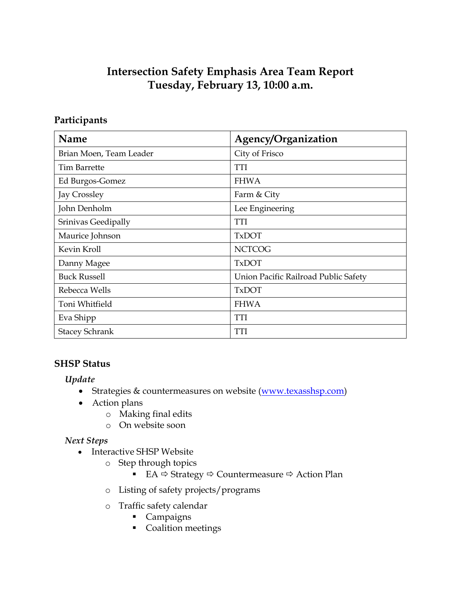# **Intersection Safety Emphasis Area Team Report Tuesday, February 13, 10:00 a.m.**

## **Participants**

| Name                    | Agency/Organization                  |
|-------------------------|--------------------------------------|
| Brian Moen, Team Leader | City of Frisco                       |
| <b>Tim Barrette</b>     | <b>TTI</b>                           |
| Ed Burgos-Gomez         | <b>FHWA</b>                          |
| Jay Crossley            | Farm & City                          |
| John Denholm            | Lee Engineering                      |
| Srinivas Geedipally     | <b>TTI</b>                           |
| Maurice Johnson         | <b>TxDOT</b>                         |
| Kevin Kroll             | <b>NCTCOG</b>                        |
| Danny Magee             | <b>TxDOT</b>                         |
| <b>Buck Russell</b>     | Union Pacific Railroad Public Safety |
| Rebecca Wells           | <b>TxDOT</b>                         |
| Toni Whitfield          | <b>FHWA</b>                          |
| Eva Shipp               | <b>TTI</b>                           |
| <b>Stacey Schrank</b>   | <b>TTI</b>                           |

## **SHSP Status**

*Update*

- Strategies & countermeasures on website [\(www.texasshsp.com\)](http://www.texasshsp.com/)
- Action plans
	- o Making final edits
	- o On website soon

### *Next Steps*

- Interactive SHSP Website
	- o Step through topics
		- EA  $\Leftrightarrow$  Strategy  $\Leftrightarrow$  Countermeasure  $\Leftrightarrow$  Action Plan
	- o Listing of safety projects/programs
	- o Traffic safety calendar
		- Campaigns
		- **Coalition meetings**